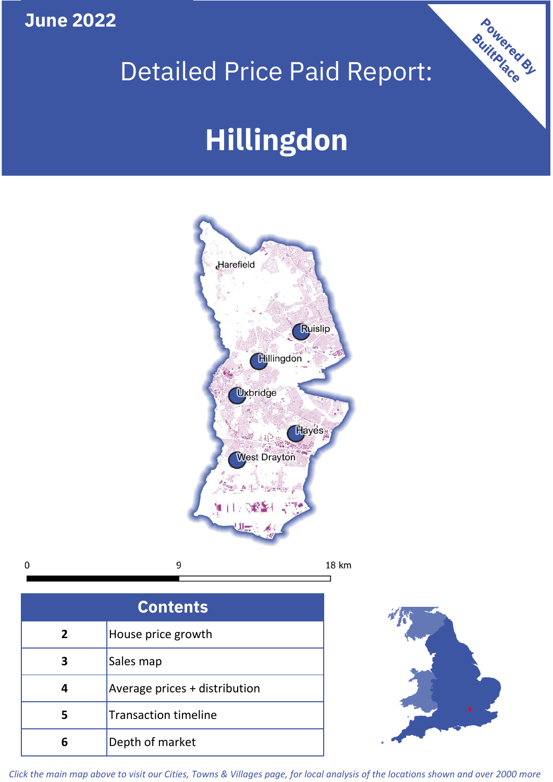**June 2022**

# Detailed Price Paid Report:

# **Hillingdon**



9  $\mathbf 0$ 

**Contents 5 4 3 2** House price growth Sales map Average prices + distribution Transaction timeline **6** Depth of market



Powered By

*Click the main map above to visit our Cities, Towns & Villages page, for local analysis of the locations shown and over 2000 more*

18 km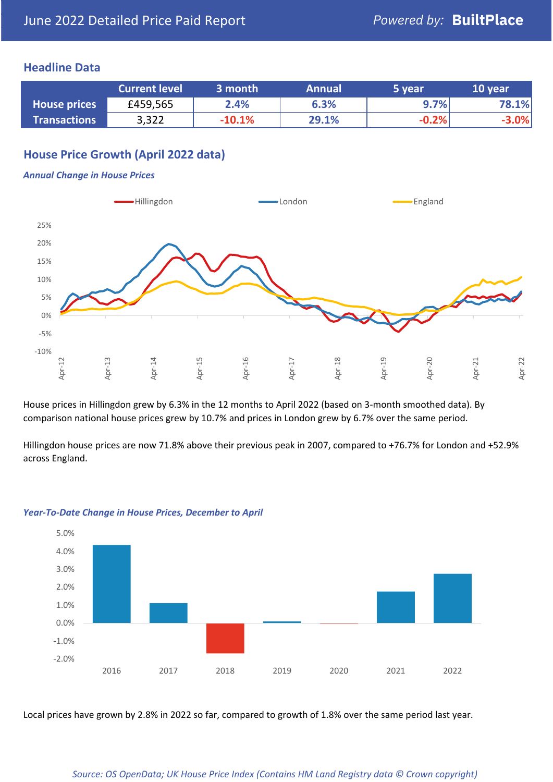#### **Headline Data**

|                     | <b>Current level</b> | 3 month  | <b>Annual</b> | 5 year  | 10 year |
|---------------------|----------------------|----------|---------------|---------|---------|
| <b>House prices</b> | £459,565             | 2.4%     | 6.3%          | 9.7%    | 78.1%   |
| <b>Transactions</b> | 3,322                | $-10.1%$ | 29.1%         | $-0.2%$ | $-3.0%$ |

# **House Price Growth (April 2022 data)**

#### *Annual Change in House Prices*



House prices in Hillingdon grew by 6.3% in the 12 months to April 2022 (based on 3-month smoothed data). By comparison national house prices grew by 10.7% and prices in London grew by 6.7% over the same period.

Hillingdon house prices are now 71.8% above their previous peak in 2007, compared to +76.7% for London and +52.9% across England.



#### *Year-To-Date Change in House Prices, December to April*

Local prices have grown by 2.8% in 2022 so far, compared to growth of 1.8% over the same period last year.

#### *Source: OS OpenData; UK House Price Index (Contains HM Land Registry data © Crown copyright)*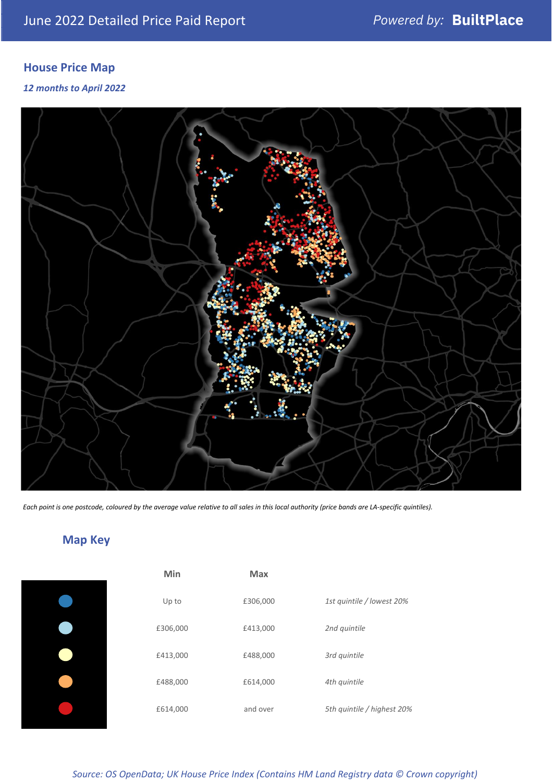# **House Price Map**

*12 months to April 2022*



*Each point is one postcode, coloured by the average value relative to all sales in this local authority (price bands are LA-specific quintiles).*

# **Map Key**

| Min      | <b>Max</b> |                            |
|----------|------------|----------------------------|
| Up to    | £306,000   | 1st quintile / lowest 20%  |
| £306,000 | £413,000   | 2nd quintile               |
| £413,000 | £488,000   | 3rd quintile               |
| £488,000 | £614,000   | 4th quintile               |
| £614,000 | and over   | 5th quintile / highest 20% |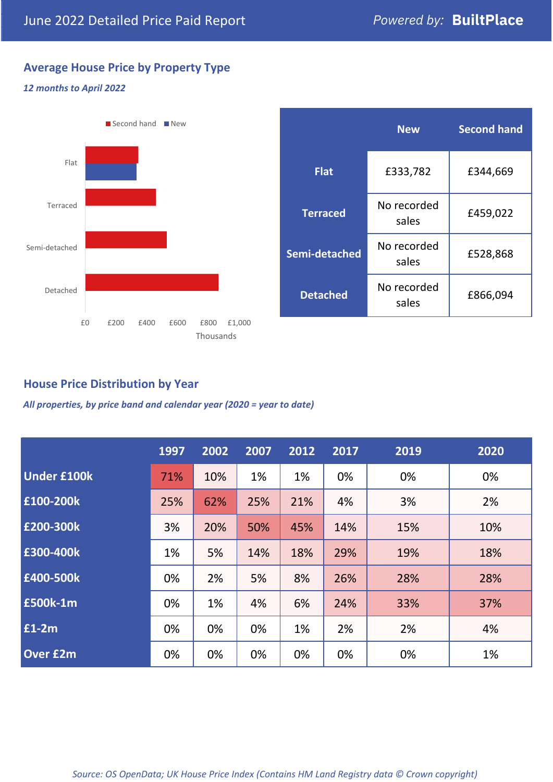# **Average House Price by Property Type**

#### *12 months to April 2022*



|                 | <b>New</b>           | <b>Second hand</b> |  |  |
|-----------------|----------------------|--------------------|--|--|
| <b>Flat</b>     | £333,782             | £344,669           |  |  |
| <b>Terraced</b> | No recorded<br>sales | £459,022           |  |  |
| Semi-detached   | No recorded<br>sales | £528,868           |  |  |
| <b>Detached</b> | No recorded<br>sales | £866,094           |  |  |

## **House Price Distribution by Year**

*All properties, by price band and calendar year (2020 = year to date)*

|                    | 1997 | 2002 | 2007 | 2012 | 2017 | 2019 | 2020 |
|--------------------|------|------|------|------|------|------|------|
| <b>Under £100k</b> | 71%  | 10%  | 1%   | 1%   | 0%   | 0%   | 0%   |
| £100-200k          | 25%  | 62%  | 25%  | 21%  | 4%   | 3%   | 2%   |
| E200-300k          | 3%   | 20%  | 50%  | 45%  | 14%  | 15%  | 10%  |
| £300-400k          | 1%   | 5%   | 14%  | 18%  | 29%  | 19%  | 18%  |
| £400-500k          | 0%   | 2%   | 5%   | 8%   | 26%  | 28%  | 28%  |
| <b>£500k-1m</b>    | 0%   | 1%   | 4%   | 6%   | 24%  | 33%  | 37%  |
| £1-2m              | 0%   | 0%   | 0%   | 1%   | 2%   | 2%   | 4%   |
| <b>Over £2m</b>    | 0%   | 0%   | 0%   | 0%   | 0%   | 0%   | 1%   |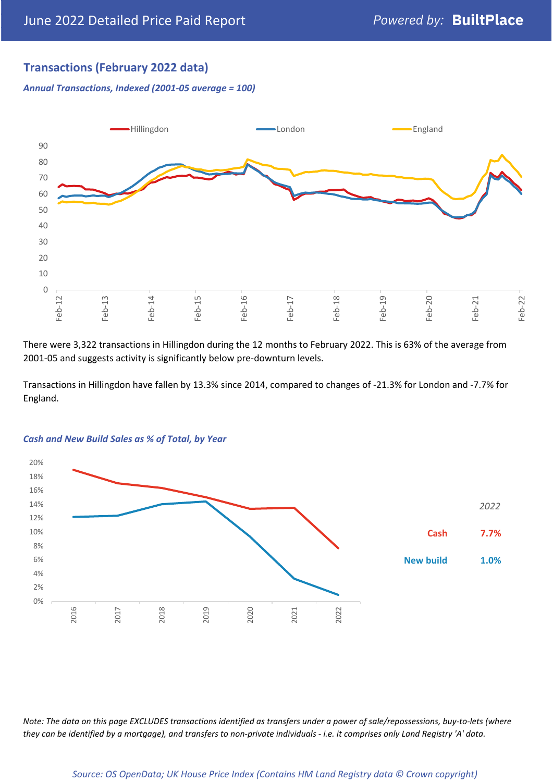# **Transactions (February 2022 data)**

*Annual Transactions, Indexed (2001-05 average = 100)*



There were 3,322 transactions in Hillingdon during the 12 months to February 2022. This is 63% of the average from 2001-05 and suggests activity is significantly below pre-downturn levels.

Transactions in Hillingdon have fallen by 13.3% since 2014, compared to changes of -21.3% for London and -7.7% for England.



#### *Cash and New Build Sales as % of Total, by Year*

*Note: The data on this page EXCLUDES transactions identified as transfers under a power of sale/repossessions, buy-to-lets (where they can be identified by a mortgage), and transfers to non-private individuals - i.e. it comprises only Land Registry 'A' data.*